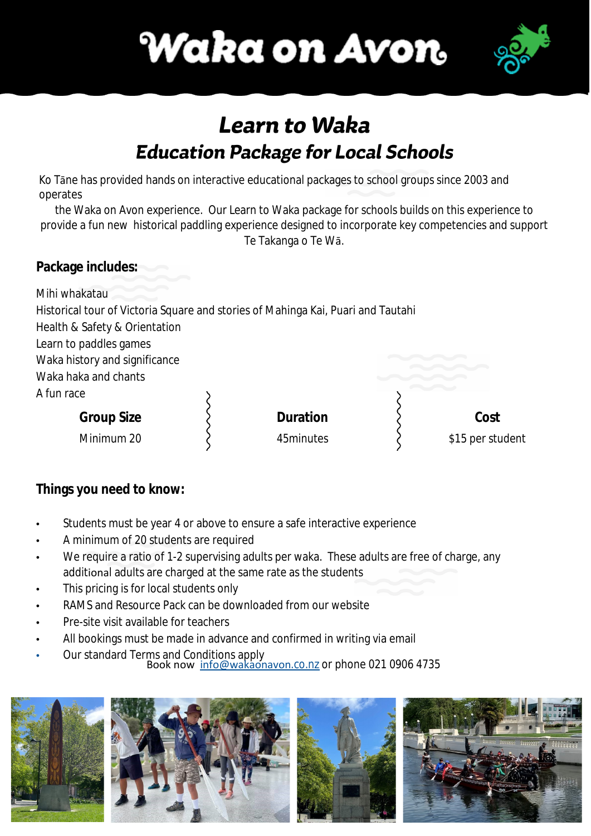



## Learn to Waka **Education Package for Local Schools**

Ko Tāne has provided hands on interactive educational packages to school groups since 2003 and operates

the Waka on Avon experience. Our Learn to Waka package for schools builds on this experience to provide a fun new historical paddling experience designed to incorporate key competencies and support Te Takanga o Te Wā.

### **Package includes:**

Mihi whakatau

Historical tour of Victoria Square and stories of Mahinga Kai, Puari and Tautahi

Health & Safety & Orientation

Learn to paddles games

Waka history and significance

Waka haka and chants

A fun race

**Group Size**  Minimum 20

**Duration** 

45minutes

**Cost** \$15 per student

### **Things you need to know:**

- Students must be year 4 or above to ensure a safe interactive experience
- A minimum of 20 students are required
- We require a ratio of 1-2 supervising adults per waka. These adults are free of charge, any additional adults are charged at the same rate as the students
- This pricing is for local students only
- RAMS and Resource Pack can be downloaded from our website
- Pre-site visit available for teachers
- All bookings must be made in advance an[d](https://www.wakaonavon.co.nz/terms-conditions) confirmed in writing via email
- Our standard Terms and Conditions apply

.co.nz or phone [021 0906 4735](https://www.google.com/search?gs_ssp=eJzj4tVP1zc0zMkpzEiLz84yYLRSNagwSzE2tEhKMUhNs0wxNExJszKoSDMyTDYzsTAwNzJLNjUxNffiKU_MTlTIz1NILMvPAwCuiRQE&q=waka+on+avon&rlz=1C1CHBF_enNZ914NZ914&oq=wa&aqs=chrome.1.69i60j46i39i175i199j69i57j69i59l2j69i61j69i60l2.1611j0j4&s) Book now [info@wakaonavon](mailto:info@wakaonavon.co.nz)